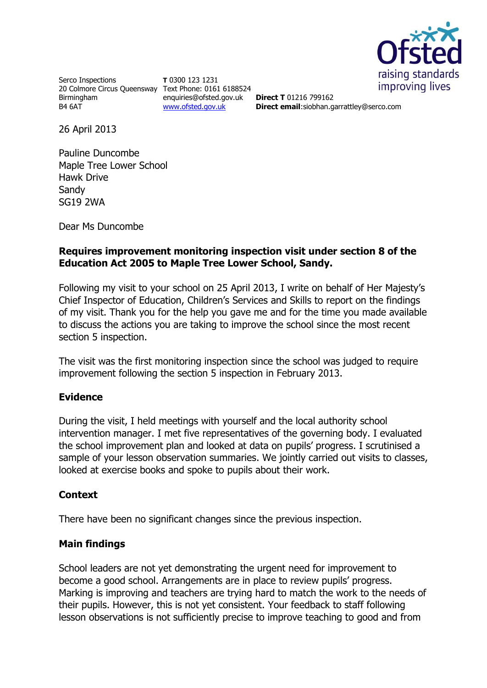

Serco Inspections 20 Colmore Circus Queensway Text Phone: 0161 6188524 Birmingham B4 6AT

**T** 0300 123 1231 enquiries@ofsted.gov.uk [www.ofsted.gov.uk](http://www.ofsted.gov.uk/)

**Direct T** 01216 799162 **Direct email**:siobhan.garrattley@serco.com

26 April 2013

Pauline Duncombe Maple Tree Lower School Hawk Drive Sandy SG19 2WA

Dear Ms Duncombe

# **Requires improvement monitoring inspection visit under section 8 of the Education Act 2005 to Maple Tree Lower School, Sandy.**

Following my visit to your school on 25 April 2013, I write on behalf of Her Majesty's Chief Inspector of Education, Children's Services and Skills to report on the findings of my visit. Thank you for the help you gave me and for the time you made available to discuss the actions you are taking to improve the school since the most recent section 5 inspection.

The visit was the first monitoring inspection since the school was judged to require improvement following the section 5 inspection in February 2013.

## **Evidence**

During the visit, I held meetings with yourself and the local authority school intervention manager. I met five representatives of the governing body. I evaluated the school improvement plan and looked at data on pupils' progress. I scrutinised a sample of your lesson observation summaries. We jointly carried out visits to classes, looked at exercise books and spoke to pupils about their work.

## **Context**

There have been no significant changes since the previous inspection.

## **Main findings**

School leaders are not yet demonstrating the urgent need for improvement to become a good school. Arrangements are in place to review pupils' progress. Marking is improving and teachers are trying hard to match the work to the needs of their pupils. However, this is not yet consistent. Your feedback to staff following lesson observations is not sufficiently precise to improve teaching to good and from